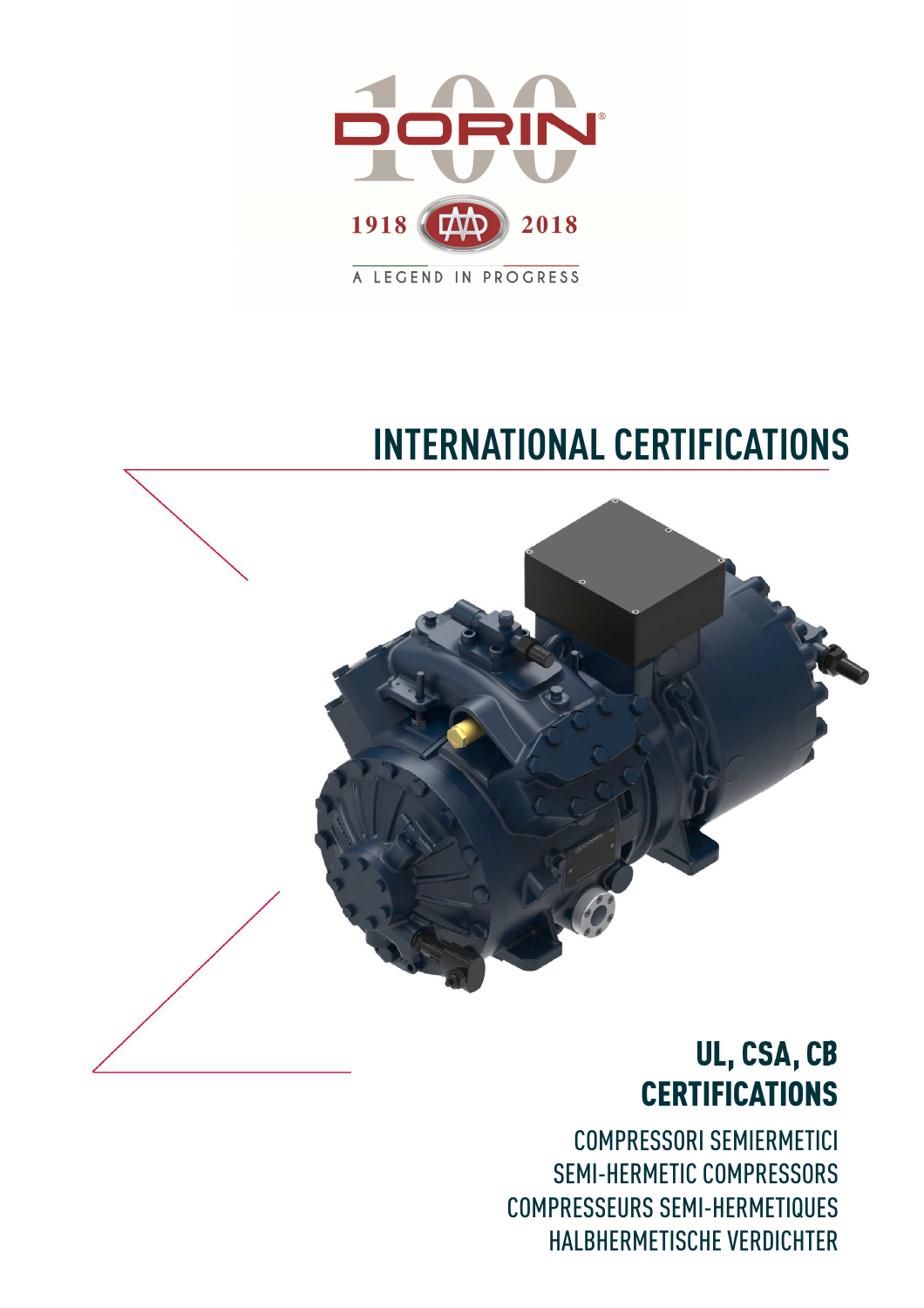

## **INTERNATIONAL CERTIFICATIONS**



## UL, CSA, CB **CERTIFICATIONS**

COMPRESSORI SEMIERMETICI SEMI-HERMETIC COMPRESSORS COMPRESSEURS SEMI-HERMETIQUES HALBHERMETISCHE VERDICHTER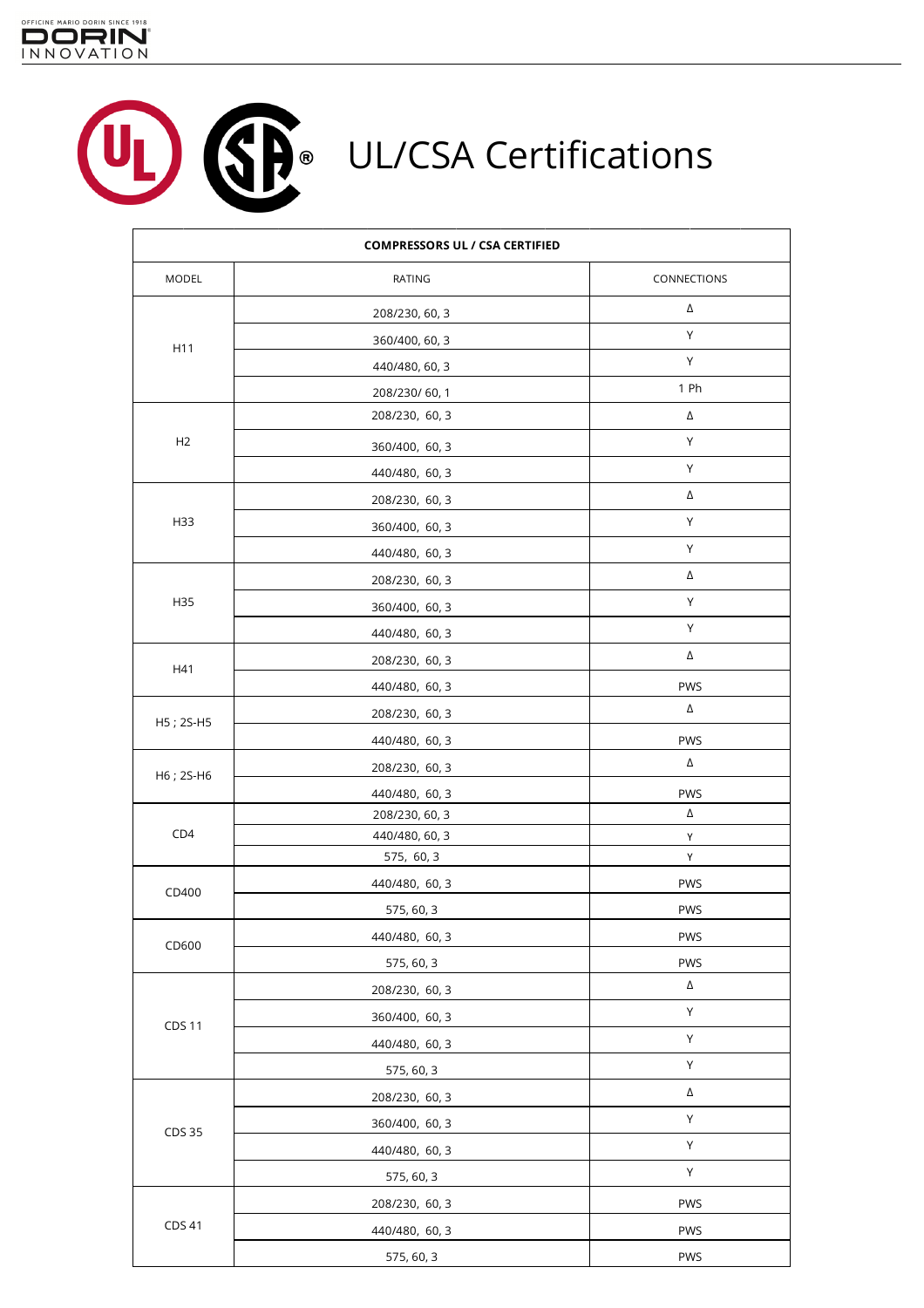

 $\Gamma$ 

**SP** UL/CSA Certifications U<sub>L</sub>

 $\overline{\phantom{a}}$ 

|               | <b>COMPRESSORS UL / CSA CERTIFIED</b> |             |
|---------------|---------------------------------------|-------------|
| MODEL         | RATING                                | CONNECTIONS |
|               | 208/230, 60, 3                        | Δ           |
|               | 360/400, 60, 3                        | Υ           |
| H11           | 440/480, 60, 3                        | Υ           |
|               | 208/230/60,1                          | 1 Ph        |
|               | 208/230, 60, 3                        | Δ           |
| H2            | 360/400, 60, 3                        | Υ           |
|               | 440/480, 60, 3                        | Υ           |
|               | 208/230, 60, 3                        | Δ           |
| H33           | 360/400, 60, 3                        | Υ           |
|               | 440/480, 60, 3                        | Υ           |
|               | 208/230, 60, 3                        | Δ           |
| H35           | 360/400, 60, 3                        | Y           |
|               | 440/480, 60, 3                        | Υ           |
|               | 208/230, 60, 3                        | Δ           |
| H41           | 440/480, 60, 3                        | PWS         |
|               |                                       | Δ           |
| H5; 2S-H5     | 208/230, 60, 3                        | PWS         |
|               | 440/480, 60, 3                        | Δ           |
| H6; 2S-H6     | 208/230, 60, 3                        | <b>PWS</b>  |
|               | 440/480, 60, 3<br>208/230, 60, 3      | Δ           |
| CD4           | 440/480, 60, 3                        | Υ           |
|               | 575, 60, 3                            | Υ           |
| CD400         | 440/480, 60, 3                        | PWS         |
|               | 575, 60, 3                            | PWS         |
|               | 440/480, 60, 3                        | PWS         |
| CD600         | 575, 60, 3                            | PWS         |
|               | 208/230, 60, 3                        | Δ           |
|               | 360/400, 60, 3                        | Υ           |
| <b>CDS 11</b> | 440/480, 60, 3                        | Υ           |
|               | 575, 60, 3                            | Υ           |
|               | 208/230, 60, 3                        | Δ           |
|               | 360/400, 60, 3                        | Υ           |
| CDS 35        | 440/480, 60, 3                        | Υ           |
|               | 575, 60, 3                            | Υ           |
|               | 208/230, 60, 3                        | <b>PWS</b>  |
| CDS 41        | 440/480, 60, 3                        | <b>PWS</b>  |
|               | 575, 60, 3                            | PWS         |
|               |                                       |             |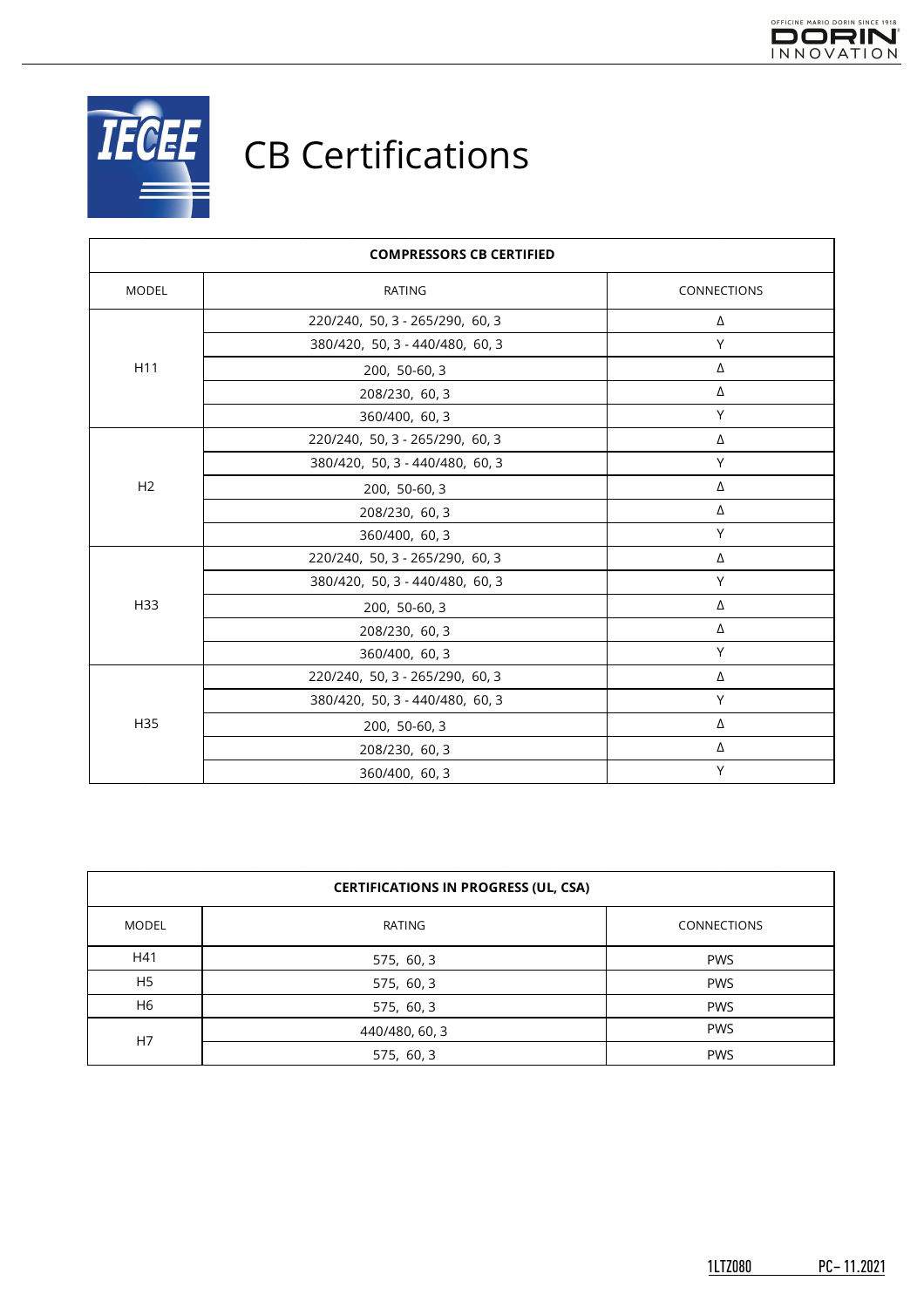



| <b>COMPRESSORS CB CERTIFIED</b> |                                 |             |  |
|---------------------------------|---------------------------------|-------------|--|
| MODEL                           | <b>RATING</b>                   | CONNECTIONS |  |
| H11                             | 220/240, 50, 3 - 265/290, 60, 3 | Δ           |  |
|                                 | 380/420, 50, 3 - 440/480, 60, 3 | Y           |  |
|                                 | 200, 50-60, 3                   | Δ           |  |
|                                 | 208/230, 60, 3                  | Δ           |  |
|                                 | 360/400, 60, 3                  | Y           |  |
| H <sub>2</sub>                  | 220/240, 50, 3 - 265/290, 60, 3 | Δ           |  |
|                                 | 380/420, 50, 3 - 440/480, 60, 3 | Υ           |  |
|                                 | 200, 50-60, 3                   | Δ           |  |
|                                 | 208/230, 60, 3                  | Δ           |  |
|                                 | 360/400, 60, 3                  | Y           |  |
| H33                             | 220/240, 50, 3 - 265/290, 60, 3 | Δ           |  |
|                                 | 380/420, 50, 3 - 440/480, 60, 3 | Υ           |  |
|                                 | 200, 50-60, 3                   | Δ           |  |
|                                 | 208/230, 60, 3                  | Δ           |  |
|                                 | 360/400, 60, 3                  | Y           |  |
| H35                             | 220/240, 50, 3 - 265/290, 60, 3 | Δ           |  |
|                                 | 380/420, 50, 3 - 440/480, 60, 3 | Y           |  |
|                                 | 200, 50-60, 3                   | Δ           |  |
|                                 | 208/230, 60, 3                  | Δ           |  |
|                                 | 360/400, 60, 3                  | Y           |  |

| <b>CERTIFICATIONS IN PROGRESS (UL, CSA)</b> |                |             |  |
|---------------------------------------------|----------------|-------------|--|
| <b>MODEL</b>                                | RATING         | CONNECTIONS |  |
| H41                                         | 575, 60, 3     | <b>PWS</b>  |  |
| H <sub>5</sub>                              | 575, 60, 3     | <b>PWS</b>  |  |
| H6                                          | 575, 60, 3     | <b>PWS</b>  |  |
| H7                                          | 440/480, 60, 3 | <b>PWS</b>  |  |
|                                             | 575, 60, 3     | <b>PWS</b>  |  |